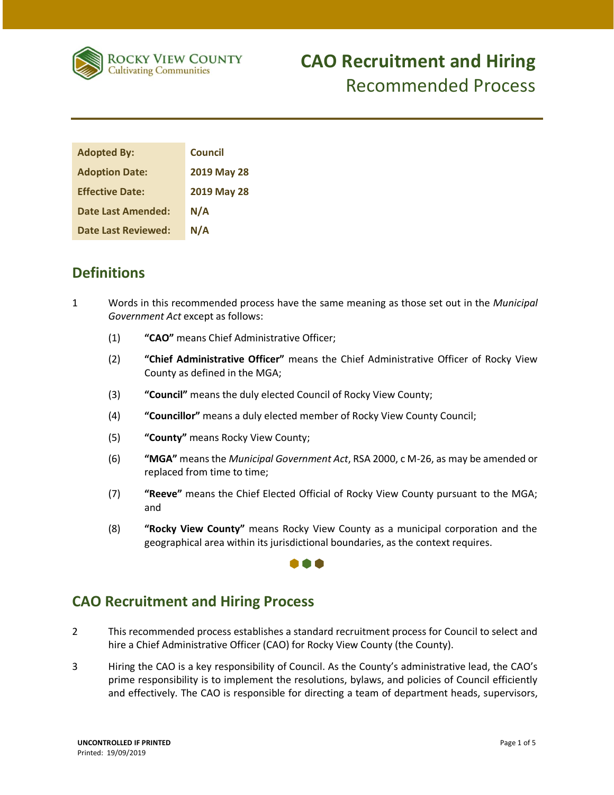

### **CAO Recruitment and Hiring**  Recommended Process

| <b>Adopted By:</b>         | <b>Council</b> |
|----------------------------|----------------|
| <b>Adoption Date:</b>      | 2019 May 28    |
| <b>Effective Date:</b>     | 2019 May 28    |
| <b>Date Last Amended:</b>  | N/A            |
| <b>Date Last Reviewed:</b> | N/A            |

### **Definitions**

- 1 Words in this recommended process have the same meaning as those set out in the *Municipal Government Act* except as follows:
	- (1) **"CAO"** means Chief Administrative Officer;
	- (2) **"Chief Administrative Officer"** means the Chief Administrative Officer of Rocky View County as defined in the MGA;
	- (3) **"Council"** means the duly elected Council of Rocky View County;
	- (4) **"Councillor"** means a duly elected member of Rocky View County Council;
	- (5) **"County"** means Rocky View County;
	- (6) **"MGA"** means the *Municipal Government Act*, RSA 2000, c M-26, as may be amended or replaced from time to time;
	- (7) **"Reeve"** means the Chief Elected Official of Rocky View County pursuant to the MGA; and
	- (8) **"Rocky View County"** means Rocky View County as a municipal corporation and the geographical area within its jurisdictional boundaries, as the context requires.

#### A A A

### **CAO Recruitment and Hiring Process**

- 2 This recommended process establishes a standard recruitment process for Council to select and hire a Chief Administrative Officer (CAO) for Rocky View County (the County).
- 3 Hiring the CAO is a key responsibility of Council. As the County's administrative lead, the CAO's prime responsibility is to implement the resolutions, bylaws, and policies of Council efficiently and effectively. The CAO is responsible for directing a team of department heads, supervisors,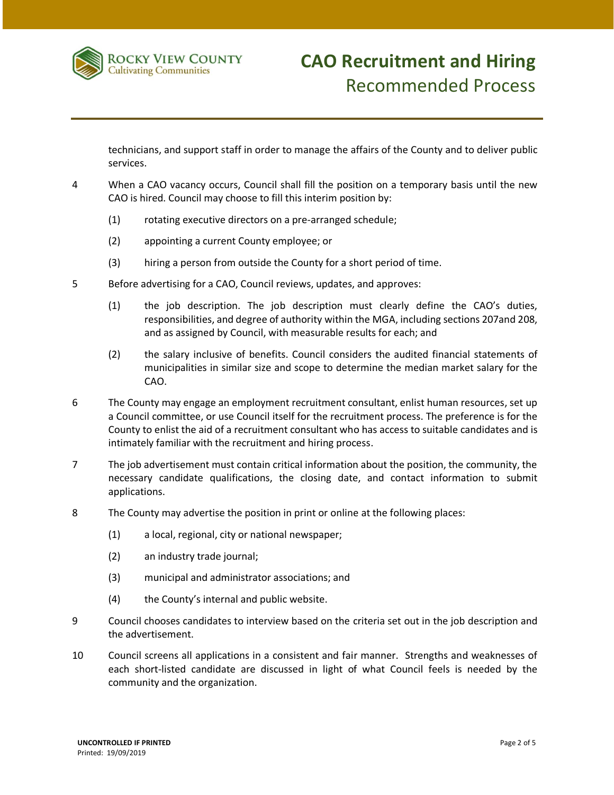

technicians, and support staff in order to manage the affairs of the County and to deliver public services.

- 4 When a CAO vacancy occurs, Council shall fill the position on a temporary basis until the new CAO is hired. Council may choose to fill this interim position by:
	- (1) rotating executive directors on a pre-arranged schedule;
	- (2) appointing a current County employee; or
	- (3) hiring a person from outside the County for a short period of time.
- 5 Before advertising for a CAO, Council reviews, updates, and approves:
	- (1) the job description. The job description must clearly define the CAO's duties, responsibilities, and degree of authority within the MGA, including sections 207and 208, and as assigned by Council, with measurable results for each; and
	- (2) the salary inclusive of benefits. Council considers the audited financial statements of municipalities in similar size and scope to determine the median market salary for the CAO.
- 6 The County may engage an employment recruitment consultant, enlist human resources, set up a Council committee, or use Council itself for the recruitment process. The preference is for the County to enlist the aid of a recruitment consultant who has access to suitable candidates and is intimately familiar with the recruitment and hiring process.
- 7 The job advertisement must contain critical information about the position, the community, the necessary candidate qualifications, the closing date, and contact information to submit applications.
- 8 The County may advertise the position in print or online at the following places:
	- (1) a local, regional, city or national newspaper;
	- (2) an industry trade journal;
	- (3) municipal and administrator associations; and
	- (4) the County's internal and public website.
- 9 Council chooses candidates to interview based on the criteria set out in the job description and the advertisement.
- 10 Council screens all applications in a consistent and fair manner. Strengths and weaknesses of each short-listed candidate are discussed in light of what Council feels is needed by the community and the organization.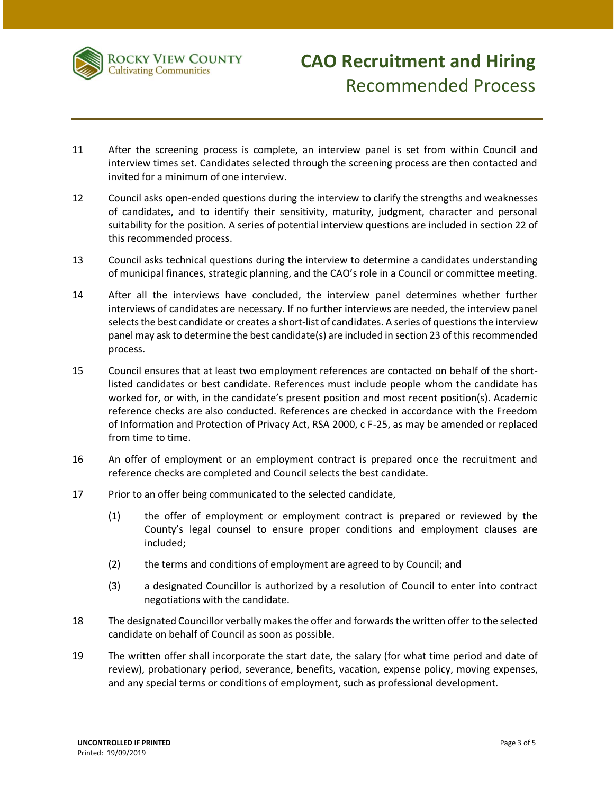

- 11 After the screening process is complete, an interview panel is set from within Council and interview times set. Candidates selected through the screening process are then contacted and invited for a minimum of one interview.
- 12 Council asks open-ended questions during the interview to clarify the strengths and weaknesses of candidates, and to identify their sensitivity, maturity, judgment, character and personal suitability for the position. A series of potential interview questions are included in section 22 of this recommended process.
- 13 Council asks technical questions during the interview to determine a candidates understanding of municipal finances, strategic planning, and the CAO's role in a Council or committee meeting.
- 14 After all the interviews have concluded, the interview panel determines whether further interviews of candidates are necessary. If no further interviews are needed, the interview panel selects the best candidate or creates a short-list of candidates. A series of questions the interview panel may ask to determine the best candidate(s) are included in section 23 of this recommended process.
- 15 Council ensures that at least two employment references are contacted on behalf of the shortlisted candidates or best candidate. References must include people whom the candidate has worked for, or with, in the candidate's present position and most recent position(s). Academic reference checks are also conducted. References are checked in accordance with the Freedom of Information and Protection of Privacy Act, RSA 2000, c F-25, as may be amended or replaced from time to time.
- 16 An offer of employment or an employment contract is prepared once the recruitment and reference checks are completed and Council selects the best candidate.
- 17 Prior to an offer being communicated to the selected candidate,
	- (1) the offer of employment or employment contract is prepared or reviewed by the County's legal counsel to ensure proper conditions and employment clauses are included;
	- (2) the terms and conditions of employment are agreed to by Council; and
	- (3) a designated Councillor is authorized by a resolution of Council to enter into contract negotiations with the candidate.
- 18 The designated Councillor verbally makes the offer and forwards the written offer to the selected candidate on behalf of Council as soon as possible.
- 19 The written offer shall incorporate the start date, the salary (for what time period and date of review), probationary period, severance, benefits, vacation, expense policy, moving expenses, and any special terms or conditions of employment, such as professional development.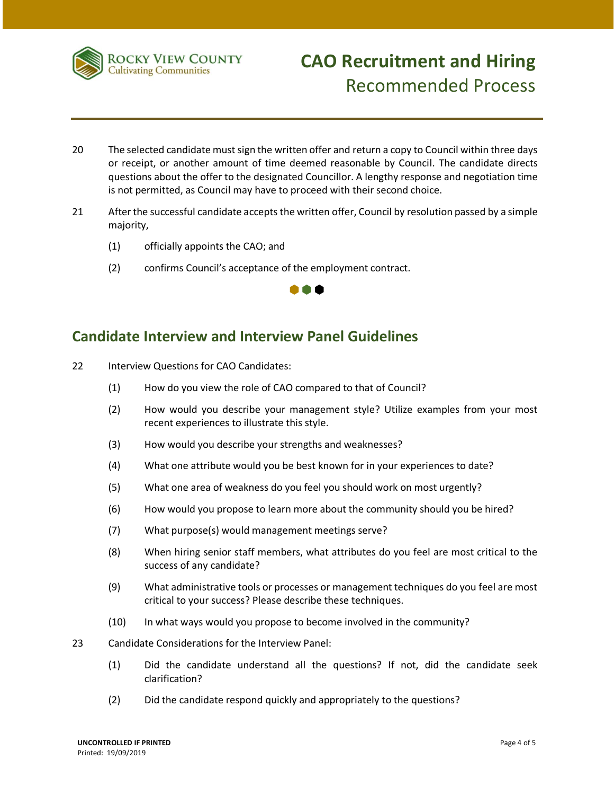

# **CAO Recruitment and Hiring**  Recommended Process

- 20 The selected candidate must sign the written offer and return a copy to Council within three days or receipt, or another amount of time deemed reasonable by Council. The candidate directs questions about the offer to the designated Councillor. A lengthy response and negotiation time is not permitted, as Council may have to proceed with their second choice.
- 21 After the successful candidate accepts the written offer, Council by resolution passed by a simple majority,
	- (1) officially appoints the CAO; and
	- (2) confirms Council's acceptance of the employment contract.



#### **Candidate Interview and Interview Panel Guidelines**

- 22 Interview Questions for CAO Candidates:
	- (1) How do you view the role of CAO compared to that of Council?
	- (2) How would you describe your management style? Utilize examples from your most recent experiences to illustrate this style.
	- (3) How would you describe your strengths and weaknesses?
	- (4) What one attribute would you be best known for in your experiences to date?
	- (5) What one area of weakness do you feel you should work on most urgently?
	- (6) How would you propose to learn more about the community should you be hired?
	- (7) What purpose(s) would management meetings serve?
	- (8) When hiring senior staff members, what attributes do you feel are most critical to the success of any candidate?
	- (9) What administrative tools or processes or management techniques do you feel are most critical to your success? Please describe these techniques.
	- (10) In what ways would you propose to become involved in the community?
- 23 Candidate Considerations for the Interview Panel:
	- (1) Did the candidate understand all the questions? If not, did the candidate seek clarification?
	- (2) Did the candidate respond quickly and appropriately to the questions?